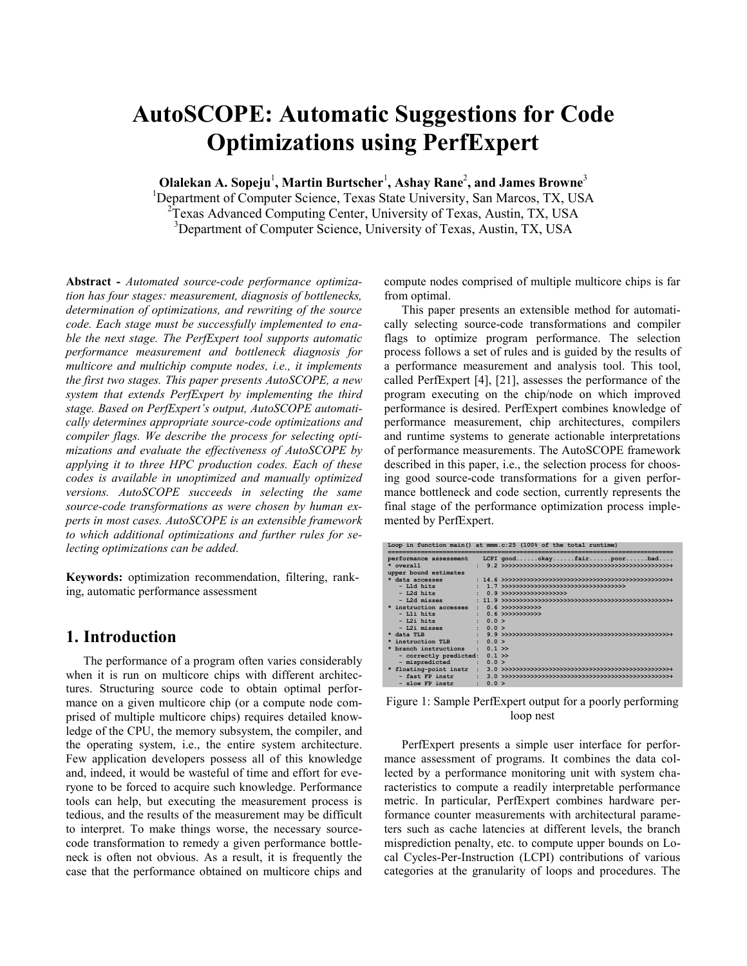# **AutoSCOPE: Automatic Suggestions for Code Optimizations using PerfExpert**

**Olalekan A. Sopeju<sup>1</sup>, Martin Burtscher<sup>1</sup>, Ashay Rane<sup>2</sup>, and James Browne<sup>3</sup>** 

<sup>1</sup>Department of Computer Science, Texas State University, San Marcos, TX, USA <sup>2</sup>Texas Advanced Computing Center, University of Texas, Austin, TX, USA <sup>3</sup>Department of Computer Science, University of Texas, Austin, TX, USA

**Abstract -** *Automated source-code performance optimization has four stages: measurement, diagnosis of bottlenecks, determination of optimizations, and rewriting of the source code. Each stage must be successfully implemented to enable the next stage. The PerfExpert tool supports automatic performance measurement and bottleneck diagnosis for multicore and multichip compute nodes, i.e., it implements the first two stages. This paper presents AutoSCOPE, a new system that extends PerfExpert by implementing the third stage. Based on PerfExpert's output, AutoSCOPE automatically determines appropriate source-code optimizations and compiler flags. We describe the process for selecting optimizations and evaluate the effectiveness of AutoSCOPE by applying it to three HPC production codes. Each of these codes is available in unoptimized and manually optimized versions. AutoSCOPE succeeds in selecting the same source-code transformations as were chosen by human experts in most cases. AutoSCOPE is an extensible framework to which additional optimizations and further rules for selecting optimizations can be added.*

**Keywords:** optimization recommendation, filtering, ranking, automatic performance assessment

## **1. Introduction**

The performance of a program often varies considerably when it is run on multicore chips with different architectures. Structuring source code to obtain optimal performance on a given multicore chip (or a compute node comprised of multiple multicore chips) requires detailed knowledge of the CPU, the memory subsystem, the compiler, and the operating system, i.e., the entire system architecture. Few application developers possess all of this knowledge and, indeed, it would be wasteful of time and effort for everyone to be forced to acquire such knowledge. Performance tools can help, but executing the measurement process is tedious, and the results of the measurement may be difficult to interpret. To make things worse, the necessary sourcecode transformation to remedy a given performance bottleneck is often not obvious. As a result, it is frequently the case that the performance obtained on multicore chips and compute nodes comprised of multiple multicore chips is far from optimal.

This paper presents an extensible method for automatically selecting source-code transformations and compiler flags to optimize program performance. The selection process follows a set of rules and is guided by the results of a performance measurement and analysis tool. This tool, called PerfExpert [\[4\],](#page-6-0) [\[21\],](#page-6-1) assesses the performance of the program executing on the chip/node on which improved performance is desired. PerfExpert combines knowledge of performance measurement, chip architectures, compilers and runtime systems to generate actionable interpretations of performance measurements. The AutoSCOPE framework described in this paper, i.e., the selection process for choosing good source-code transformations for a given performance bottleneck and code section, currently represents the final stage of the performance optimization process implemented by PerfExpert.

|                                |                    | Loop in function main() at mmm.c:25 (100% of the total runtime) |
|--------------------------------|--------------------|-----------------------------------------------------------------|
| performance assessment         |                    | LCPI goodokayfairpoorbad                                        |
| $*$ overall                    |                    |                                                                 |
| upper bound estimates          |                    |                                                                 |
| * data accesses                |                    |                                                                 |
| $-$ L1d hits                   |                    |                                                                 |
| $-$ L2d hits                   |                    | $0.9$ >>>>>>>>>>>>>>>>>>>>>>>                                   |
| $-$ L2d misses                 |                    |                                                                 |
| * instruction accesses         | ÷.                 | $0.6$ >>>>>>>>>>>>>                                             |
| $-$ L1i hits                   |                    | $0.6$ >>>>>>>>>>>>>                                             |
| - L2i hits                     | 0.0 >              |                                                                 |
| - L2i misses                   | $: 0.0$ >          |                                                                 |
| * data TLB                     |                    |                                                                 |
| instruction TLB                | $\therefore$ 0.0 > |                                                                 |
| * branch instructions : 0.1 >> |                    |                                                                 |
| - correctly predicted: 0.1 >>  |                    |                                                                 |
| - mispredicted                 | $\therefore$ 0.0 > |                                                                 |
| * floating-point instr         | $\mathbf{r}$       |                                                                 |
| - fast FP instr                |                    |                                                                 |
| - slow FP instr                | 0.0 >              |                                                                 |

<span id="page-0-0"></span>Figure 1: Sample PerfExpert output for a poorly performing loop nest

PerfExpert presents a simple user interface for performance assessment of programs. It combines the data collected by a performance monitoring unit with system characteristics to compute a readily interpretable performance metric. In particular, PerfExpert combines hardware performance counter measurements with architectural parameters such as cache latencies at different levels, the branch misprediction penalty, etc. to compute upper bounds on Local Cycles-Per-Instruction (LCPI) contributions of various categories at the granularity of loops and procedures. The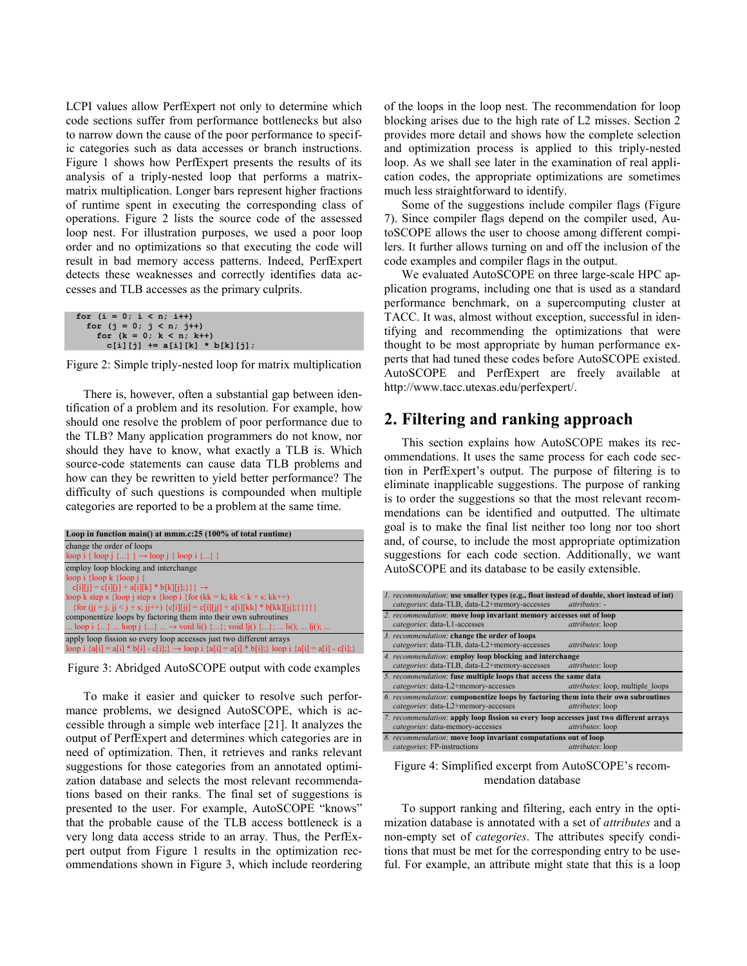LCPI values allow PerfExpert not only to determine which code sections suffer from performance bottlenecks but also to narrow down the cause of the poor performance to specific categories such as data accesses or branch instructions. [Figure 1](#page-0-0) shows how PerfExpert presents the results of its analysis of a triply-nested loop that performs a matrixmatrix multiplication. Longer bars represent higher fractions of runtime spent in executing the corresponding class of operations. [Figure 2](#page-1-0) lists the source code of the assessed loop nest. For illustration purposes, we used a poor loop order and no optimizations so that executing the code will result in bad memory access patterns. Indeed, PerfExpert detects these weaknesses and correctly identifies data accesses and TLB accesses as the primary culprits.

```
for (i = 0; i < n; i++)for (j = 0; j < n; j++) for (k = 0; k < n; k++)
c[i][j] += a[i][k] * b[k][j];
```
<span id="page-1-0"></span>

There is, however, often a substantial gap between identification of a problem and its resolution. For example, how should one resolve the problem of poor performance due to the TLB? Many application programmers do not know, nor should they have to know, what exactly a TLB is. Which source-code statements can cause data TLB problems and how can they be rewritten to yield better performance? The difficulty of such questions is compounded when multiple categories are reported to be a problem at the same time.



Figure 3: Abridged AutoSCOPE output with code examples

<span id="page-1-1"></span>To make it easier and quicker to resolve such performance problems, we designed AutoSCOPE, which is accessible through a simple web interface [\[21\].](#page-6-1) It analyzes the output of PerfExpert and determines which categories are in need of optimization. Then, it retrieves and ranks relevant suggestions for those categories from an annotated optimization database and selects the most relevant recommendations based on their ranks. The final set of suggestions is presented to the user. For example, AutoSCOPE "knows" that the probable cause of the TLB access bottleneck is a very long data access stride to an array. Thus, the PerfExpert output from [Figure 1](#page-0-0) results in the optimization recommendations shown in [Figure 3,](#page-1-1) which include reordering

of the loops in the loop nest. The recommendation for loop blocking arises due to the high rate of L2 misses. Section [2](#page-1-2) provides more detail and shows how the complete selection and optimization process is applied to this triply-nested loop. As we shall see later in the examination of real application codes, the appropriate optimizations are sometimes much less straightforward to identify.

Some of the suggestions include compiler flags [\(Figure](#page-5-0)  [7\)](#page-5-0). Since compiler flags depend on the compiler used, AutoSCOPE allows the user to choose among different compilers. It further allows turning on and off the inclusion of the code examples and compiler flags in the output.

We evaluated AutoSCOPE on three large-scale HPC application programs, including one that is used as a standard performance benchmark, on a supercomputing cluster at TACC. It was, almost without exception, successful in identifying and recommending the optimizations that were thought to be most appropriate by human performance experts that had tuned these codes before AutoSCOPE existed. AutoSCOPE and PerfExpert are freely available at http://www.tacc.utexas.edu/perfexpert/.

## <span id="page-1-2"></span>**2. Filtering and ranking approach**

This section explains how AutoSCOPE makes its recommendations. It uses the same process for each code section in PerfExpert's output. The purpose of filtering is to eliminate inapplicable suggestions. The purpose of ranking is to order the suggestions so that the most relevant recommendations can be identified and outputted. The ultimate goal is to make the final list neither too long nor too short and, of course, to include the most appropriate optimization suggestions for each code section. Additionally, we want AutoSCOPE and its database to be easily extensible.

|                                                                                        | 1. recommendation: use smaller types (e.g., float instead of double, short instead of int)<br>categories: data-TLB, data-L2+memory-accesses | attributes: -                           |  |  |  |
|----------------------------------------------------------------------------------------|---------------------------------------------------------------------------------------------------------------------------------------------|-----------------------------------------|--|--|--|
|                                                                                        | 2. recommendation: move loop invariant memory accesses out of loop                                                                          |                                         |  |  |  |
|                                                                                        | categories: data-L1-accesses                                                                                                                | attributes: loop                        |  |  |  |
|                                                                                        | 3. recommendation: change the order of loops                                                                                                |                                         |  |  |  |
|                                                                                        | categories: data-TLB, data-L2+memory-accesses                                                                                               | attributes: loop                        |  |  |  |
|                                                                                        | 4. recommendation: employ loop blocking and interchange                                                                                     |                                         |  |  |  |
|                                                                                        | categories: data-TLB, data-L2+memory-accesses                                                                                               | attributes: loop                        |  |  |  |
|                                                                                        | 5. recommendation: fuse multiple loops that access the same data                                                                            |                                         |  |  |  |
|                                                                                        | categories: data-L2+memory-accesses                                                                                                         | <i>attributes:</i> loop, multiple loops |  |  |  |
|                                                                                        | 6. recommendation: componentize loops by factoring them into their own subroutines                                                          |                                         |  |  |  |
|                                                                                        | categories: data-L2+memory-accesses                                                                                                         | attributes: loop                        |  |  |  |
| 7. recommendation: apply loop fission so every loop accesses just two different arrays |                                                                                                                                             |                                         |  |  |  |
|                                                                                        | categories: data-memory-accesses                                                                                                            | <i>attributes</i> : loop                |  |  |  |
|                                                                                        | 8. recommendation: move loop invariant computations out of loop                                                                             |                                         |  |  |  |
|                                                                                        | categories: FP-instructions                                                                                                                 | attributes: loop                        |  |  |  |

<span id="page-1-3"></span>Figure 4: Simplified excerpt from AutoSCOPE's recommendation database

To support ranking and filtering, each entry in the optimization database is annotated with a set of *attributes* and a non-empty set of *categories*. The attributes specify conditions that must be met for the corresponding entry to be useful. For example, an attribute might state that this is a loop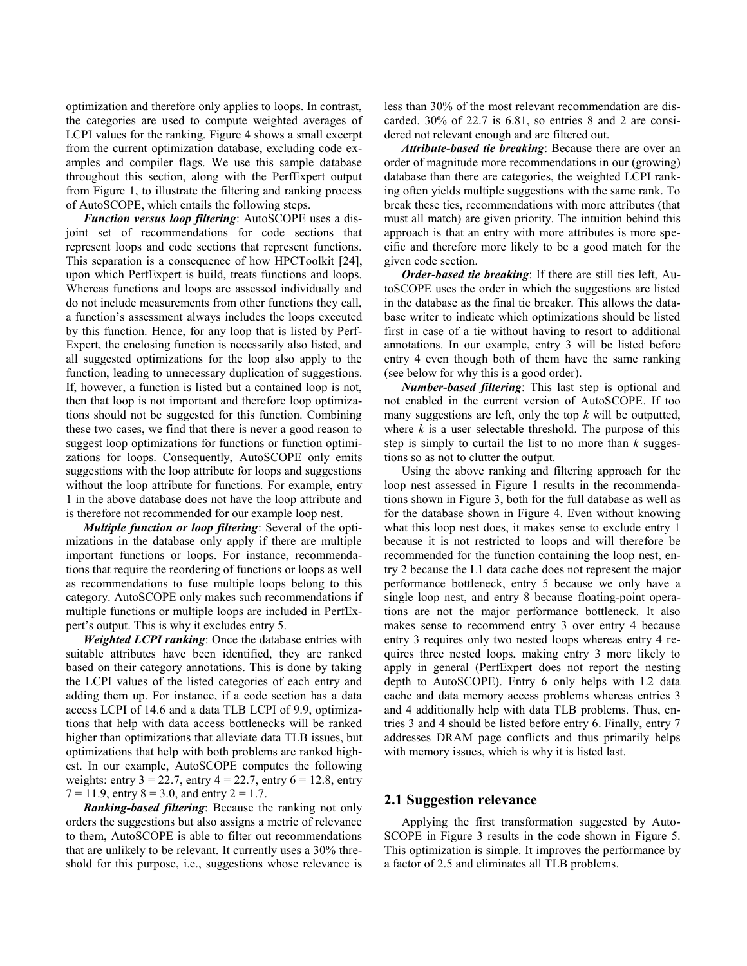optimization and therefore only applies to loops. In contrast, the categories are used to compute weighted averages of LCPI values for the ranking. [Figure 4](#page-1-3) shows a small excerpt from the current optimization database, excluding code examples and compiler flags. We use this sample database throughout this section, along with the PerfExpert output from [Figure 1,](#page-0-0) to illustrate the filtering and ranking process of AutoSCOPE, which entails the following steps.

*Function versus loop filtering*: AutoSCOPE uses a disjoint set of recommendations for code sections that represent loops and code sections that represent functions. This separation is a consequence of how HPCToolkit [\[24\],](#page-6-2) upon which PerfExpert is build, treats functions and loops. Whereas functions and loops are assessed individually and do not include measurements from other functions they call, a function's assessment always includes the loops executed by this function. Hence, for any loop that is listed by Perf-Expert, the enclosing function is necessarily also listed, and all suggested optimizations for the loop also apply to the function, leading to unnecessary duplication of suggestions. If, however, a function is listed but a contained loop is not, then that loop is not important and therefore loop optimizations should not be suggested for this function. Combining these two cases, we find that there is never a good reason to suggest loop optimizations for functions or function optimizations for loops. Consequently, AutoSCOPE only emits suggestions with the loop attribute for loops and suggestions without the loop attribute for functions. For example, entry 1 in the above database does not have the loop attribute and is therefore not recommended for our example loop nest.

*Multiple function or loop filtering*: Several of the optimizations in the database only apply if there are multiple important functions or loops. For instance, recommendations that require the reordering of functions or loops as well as recommendations to fuse multiple loops belong to this category. AutoSCOPE only makes such recommendations if multiple functions or multiple loops are included in PerfExpert's output. This is why it excludes entry 5.

*Weighted LCPI ranking*: Once the database entries with suitable attributes have been identified, they are ranked based on their category annotations. This is done by taking the LCPI values of the listed categories of each entry and adding them up. For instance, if a code section has a data access LCPI of 14.6 and a data TLB LCPI of 9.9, optimizations that help with data access bottlenecks will be ranked higher than optimizations that alleviate data TLB issues, but optimizations that help with both problems are ranked highest. In our example, AutoSCOPE computes the following weights: entry  $3 = 22.7$ , entry  $4 = 22.7$ , entry  $6 = 12.8$ , entry  $7 = 11.9$ , entry  $8 = 3.0$ , and entry  $2 = 1.7$ .

*Ranking-based filtering*: Because the ranking not only orders the suggestions but also assigns a metric of relevance to them, AutoSCOPE is able to filter out recommendations that are unlikely to be relevant. It currently uses a 30% threshold for this purpose, i.e., suggestions whose relevance is less than 30% of the most relevant recommendation are discarded. 30% of 22.7 is 6.81, so entries 8 and 2 are considered not relevant enough and are filtered out.

*Attribute-based tie breaking*: Because there are over an order of magnitude more recommendations in our (growing) database than there are categories, the weighted LCPI ranking often yields multiple suggestions with the same rank. To break these ties, recommendations with more attributes (that must all match) are given priority. The intuition behind this approach is that an entry with more attributes is more specific and therefore more likely to be a good match for the given code section.

*Order-based tie breaking*: If there are still ties left, AutoSCOPE uses the order in which the suggestions are listed in the database as the final tie breaker. This allows the database writer to indicate which optimizations should be listed first in case of a tie without having to resort to additional annotations. In our example, entry 3 will be listed before entry 4 even though both of them have the same ranking (see below for why this is a good order).

*Number-based filtering*: This last step is optional and not enabled in the current version of AutoSCOPE. If too many suggestions are left, only the top *k* will be outputted, where *k* is a user selectable threshold. The purpose of this step is simply to curtail the list to no more than *k* suggestions so as not to clutter the output.

Using the above ranking and filtering approach for the loop nest assessed in [Figure 1](#page-0-0) results in the recommendations shown in [Figure 3,](#page-1-1) both for the full database as well as for the database shown in [Figure 4.](#page-1-3) Even without knowing what this loop nest does, it makes sense to exclude entry 1 because it is not restricted to loops and will therefore be recommended for the function containing the loop nest, entry 2 because the L1 data cache does not represent the major performance bottleneck, entry 5 because we only have a single loop nest, and entry 8 because floating-point operations are not the major performance bottleneck. It also makes sense to recommend entry 3 over entry 4 because entry 3 requires only two nested loops whereas entry 4 requires three nested loops, making entry 3 more likely to apply in general (PerfExpert does not report the nesting depth to AutoSCOPE). Entry 6 only helps with L2 data cache and data memory access problems whereas entries 3 and 4 additionally help with data TLB problems. Thus, entries 3 and 4 should be listed before entry 6. Finally, entry 7 addresses DRAM page conflicts and thus primarily helps with memory issues, which is why it is listed last.

#### **2.1 Suggestion relevance**

Applying the first transformation suggested by Auto-SCOPE in [Figure 3](#page-1-1) results in the code shown in [Figure 5.](#page-3-0) This optimization is simple. It improves the performance by a factor of 2.5 and eliminates all TLB problems.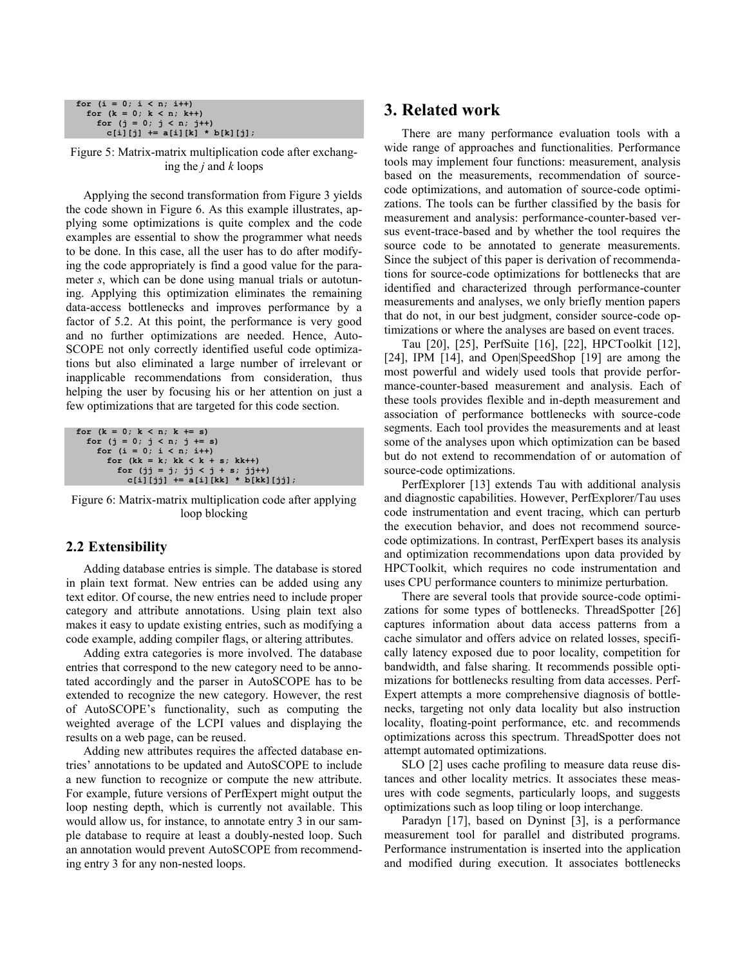```
for (i = 0; i < n; i++)for (k = 0; k < n; k++) for (j = 0; j < n; j++)
c[i][j] += a[i][k] * b[k][j];
```
<span id="page-3-0"></span>Figure 5: Matrix-matrix multiplication code after exchanging the *j* and *k* loops

Applying the second transformation from [Figure 3](#page-1-1) yields the code shown in [Figure 6.](#page-3-1) As this example illustrates, applying some optimizations is quite complex and the code examples are essential to show the programmer what needs to be done. In this case, all the user has to do after modifying the code appropriately is find a good value for the parameter *s*, which can be done using manual trials or autotuning. Applying this optimization eliminates the remaining data-access bottlenecks and improves performance by a factor of 5.2. At this point, the performance is very good and no further optimizations are needed. Hence, Auto-SCOPE not only correctly identified useful code optimizations but also eliminated a large number of irrelevant or inapplicable recommendations from consideration, thus helping the user by focusing his or her attention on just a few optimizations that are targeted for this code section.

```
for (k = 0; k < n; k += s) for (j = 0; j < n; j += s)
for (i = 0; i < n; i++)
        for (kk = k; kk < k + s; kk++) for (jj = j; jj < j + s; jj++)
             c[i][jj] += a[i][kk] * b[kk][jj];
```
<span id="page-3-1"></span>Figure 6: Matrix-matrix multiplication code after applying loop blocking

#### **2.2 Extensibility**

Adding database entries is simple. The database is stored in plain text format. New entries can be added using any text editor. Of course, the new entries need to include proper category and attribute annotations. Using plain text also makes it easy to update existing entries, such as modifying a code example, adding compiler flags, or altering attributes.

Adding extra categories is more involved. The database entries that correspond to the new category need to be annotated accordingly and the parser in AutoSCOPE has to be extended to recognize the new category. However, the rest of AutoSCOPE's functionality, such as computing the weighted average of the LCPI values and displaying the results on a web page, can be reused.

Adding new attributes requires the affected database entries' annotations to be updated and AutoSCOPE to include a new function to recognize or compute the new attribute. For example, future versions of PerfExpert might output the loop nesting depth, which is currently not available. This would allow us, for instance, to annotate entry 3 in our sample database to require at least a doubly-nested loop. Such an annotation would prevent AutoSCOPE from recommending entry 3 for any non-nested loops.

## **3. Related work**

There are many performance evaluation tools with a wide range of approaches and functionalities. Performance tools may implement four functions: measurement, analysis based on the measurements, recommendation of sourcecode optimizations, and automation of source-code optimizations. The tools can be further classified by the basis for measurement and analysis: performance-counter-based versus event-trace-based and by whether the tool requires the source code to be annotated to generate measurements. Since the subject of this paper is derivation of recommendations for source-code optimizations for bottlenecks that are identified and characterized through performance-counter measurements and analyses, we only briefly mention papers that do not, in our best judgment, consider source-code optimizations or where the analyses are based on event traces.

Tau [\[20\],](#page-6-3) [\[25\],](#page-6-4) PerfSuite [\[16\],](#page-6-5) [\[22\],](#page-6-6) HPCToolkit [\[12\],](#page-6-7) [\[24\],](#page-6-2) IPM [\[14\],](#page-6-8) and Open|SpeedShop [\[19\]](#page-6-9) are among the most powerful and widely used tools that provide performance-counter-based measurement and analysis. Each of these tools provides flexible and in-depth measurement and association of performance bottlenecks with source-code segments. Each tool provides the measurements and at least some of the analyses upon which optimization can be based but do not extend to recommendation of or automation of source-code optimizations.

PerfExplorer [\[13\]](#page-6-10) extends Tau with additional analysis and diagnostic capabilities. However, PerfExplorer/Tau uses code instrumentation and event tracing, which can perturb the execution behavior, and does not recommend sourcecode optimizations. In contrast, PerfExpert bases its analysis and optimization recommendations upon data provided by HPCToolkit, which requires no code instrumentation and uses CPU performance counters to minimize perturbation.

There are several tools that provide source-code optimizations for some types of bottlenecks. ThreadSpotter [\[26\]](#page-6-11) captures information about data access patterns from a cache simulator and offers advice on related losses, specifically latency exposed due to poor locality, competition for bandwidth, and false sharing. It recommends possible optimizations for bottlenecks resulting from data accesses. Perf-Expert attempts a more comprehensive diagnosis of bottlenecks, targeting not only data locality but also instruction locality, floating-point performance, etc. and recommends optimizations across this spectrum. ThreadSpotter does not attempt automated optimizations.

SLO [\[2\]](#page-6-12) uses cache profiling to measure data reuse distances and other locality metrics. It associates these measures with code segments, particularly loops, and suggests optimizations such as loop tiling or loop interchange.

Paradyn [\[17\],](#page-6-13) based on Dyninst [\[3\],](#page-6-14) is a performance measurement tool for parallel and distributed programs. Performance instrumentation is inserted into the application and modified during execution. It associates bottlenecks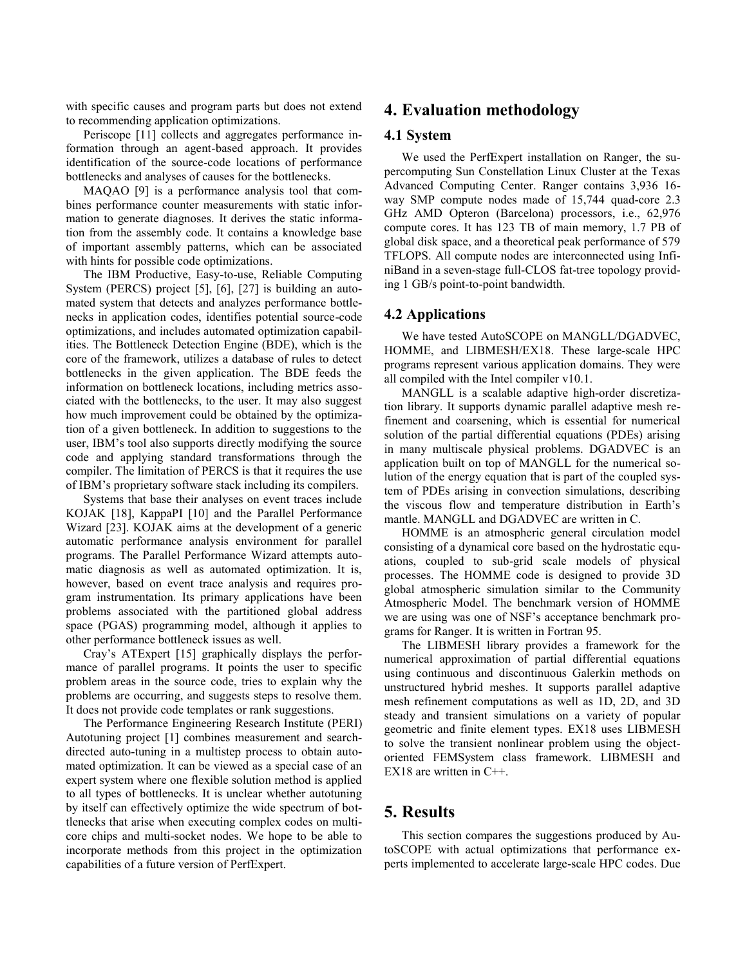with specific causes and program parts but does not extend to recommending application optimizations.

Periscope [\[11\]](#page-6-15) collects and aggregates performance information through an agent-based approach. It provides identification of the source-code locations of performance bottlenecks and analyses of causes for the bottlenecks.

MAQAO [\[9\]](#page-6-16) is a performance analysis tool that combines performance counter measurements with static information to generate diagnoses. It derives the static information from the assembly code. It contains a knowledge base of important assembly patterns, which can be associated with hints for possible code optimizations.

The IBM Productive, Easy-to-use, Reliable Computing System (PERCS) project [\[5\],](#page-6-17) [\[6\],](#page-6-18) [\[27\]](#page-6-19) is building an automated system that detects and analyzes performance bottlenecks in application codes, identifies potential source-code optimizations, and includes automated optimization capabilities. The Bottleneck Detection Engine (BDE), which is the core of the framework, utilizes a database of rules to detect bottlenecks in the given application. The BDE feeds the information on bottleneck locations, including metrics associated with the bottlenecks, to the user. It may also suggest how much improvement could be obtained by the optimization of a given bottleneck. In addition to suggestions to the user, IBM's tool also supports directly modifying the source code and applying standard transformations through the compiler. The limitation of PERCS is that it requires the use of IBM's proprietary software stack including its compilers.

Systems that base their analyses on event traces include KOJAK [\[18\],](#page-6-20) KappaPI [\[10\]](#page-6-21) and the Parallel Performance Wizard [\[23\].](#page-6-22) KOJAK aims at the development of a generic automatic performance analysis environment for parallel programs. The Parallel Performance Wizard attempts automatic diagnosis as well as automated optimization. It is, however, based on event trace analysis and requires program instrumentation. Its primary applications have been problems associated with the partitioned global address space (PGAS) programming model, although it applies to other performance bottleneck issues as well.

Cray's ATExpert [\[15\]](#page-6-23) graphically displays the performance of parallel programs. It points the user to specific problem areas in the source code, tries to explain why the problems are occurring, and suggests steps to resolve them. It does not provide code templates or rank suggestions.

The Performance Engineering Research Institute (PERI) Autotuning project [\[1\]](#page-6-24) combines measurement and searchdirected auto-tuning in a multistep process to obtain automated optimization. It can be viewed as a special case of an expert system where one flexible solution method is applied to all types of bottlenecks. It is unclear whether autotuning by itself can effectively optimize the wide spectrum of bottlenecks that arise when executing complex codes on multicore chips and multi-socket nodes. We hope to be able to incorporate methods from this project in the optimization capabilities of a future version of PerfExpert.

## **4. Evaluation methodology**

#### **4.1 System**

We used the PerfExpert installation on Ranger, the supercomputing Sun Constellation Linux Cluster at the Texas Advanced Computing Center. Ranger contains 3,936 16 way SMP compute nodes made of 15,744 quad-core 2.3 GHz AMD Opteron (Barcelona) processors, i.e., 62,976 compute cores. It has 123 TB of main memory, 1.7 PB of global disk space, and a theoretical peak performance of 579 TFLOPS. All compute nodes are interconnected using InfiniBand in a seven-stage full-CLOS fat-tree topology providing 1 GB/s point-to-point bandwidth.

#### **4.2 Applications**

We have tested AutoSCOPE on MANGLL/DGADVEC, HOMME, and LIBMESH/EX18. These large-scale HPC programs represent various application domains. They were all compiled with the Intel compiler v10.1.

MANGLL is a scalable adaptive high-order discretization library. It supports dynamic parallel adaptive mesh refinement and coarsening, which is essential for numerical solution of the partial differential equations (PDEs) arising in many multiscale physical problems. DGADVEC is an application built on top of MANGLL for the numerical solution of the energy equation that is part of the coupled system of PDEs arising in convection simulations, describing the viscous flow and temperature distribution in Earth's mantle. MANGLL and DGADVEC are written in C.

HOMME is an atmospheric general circulation model consisting of a dynamical core based on the hydrostatic equations, coupled to sub-grid scale models of physical processes. The HOMME code is designed to provide 3D global atmospheric simulation similar to the Community Atmospheric Model. The benchmark version of HOMME we are using was one of NSF's acceptance benchmark programs for Ranger. It is written in Fortran 95.

The LIBMESH library provides a framework for the numerical approximation of partial differential equations using continuous and discontinuous Galerkin methods on unstructured hybrid meshes. It supports parallel adaptive mesh refinement computations as well as 1D, 2D, and 3D steady and transient simulations on a variety of popular geometric and finite element types. EX18 uses LIBMESH to solve the transient nonlinear problem using the objectoriented FEMSystem class framework. LIBMESH and EX18 are written in C++.

## **5. Results**

This section compares the suggestions produced by AutoSCOPE with actual optimizations that performance experts implemented to accelerate large-scale HPC codes. Due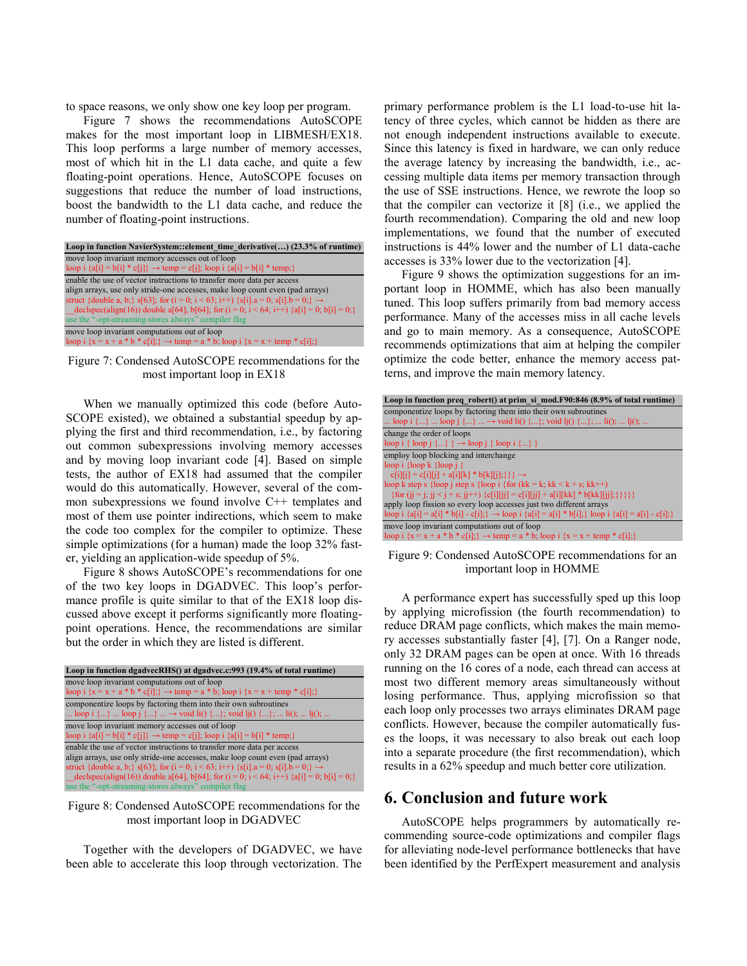to space reasons, we only show one key loop per program.

[Figure 7](#page-5-0) shows the recommendations AutoSCOPE makes for the most important loop in LIBMESH/EX18. This loop performs a large number of memory accesses, most of which hit in the L1 data cache, and quite a few floating-point operations. Hence, AutoSCOPE focuses on suggestions that reduce the number of load instructions, boost the bandwidth to the L1 data cache, and reduce the number of floating-point instructions.

| Loop in function NavierSystem::element time derivative() (23.3% of runtime)                         |  |  |
|-----------------------------------------------------------------------------------------------------|--|--|
| move loop invariant memory accesses out of loop                                                     |  |  |
| loop i $\{a[i] = b[i] * c[i]\} \rightarrow temp = c[i]$ ; loop i $\{a[i] = b[i] * temp\}$           |  |  |
| enable the use of vector instructions to transfer more data per access                              |  |  |
| align arrays, use only stride-one accesses, make loop count even (pad arrays)                       |  |  |
| struct {double a, b;} s[63]; for (i = 0; i < 63; i++) {s[i].a = 0; s[i].b = 0;} $\rightarrow$       |  |  |
| declspec(align(16)) double a[64], b[64]; for (i = 0; i < 64; i++) {a[i] = 0; b[i] = 0;}             |  |  |
| use the "-opt-streaming-stores always" compiler flag                                                |  |  |
| move loop invariant computations out of loop                                                        |  |  |
| loop i $\{x = x + a * b * c[i]\}\rightarrow$ temp = a * b; loop i $\{x = x + \text{temp} * c[i]\}\$ |  |  |

<span id="page-5-0"></span>Figure 7: Condensed AutoSCOPE recommendations for the most important loop in EX18

When we manually optimized this code (before Auto-SCOPE existed), we obtained a substantial speedup by applying the first and third recommendation, i.e., by factoring out common subexpressions involving memory accesses and by moving loop invariant code [\[4\].](#page-6-0) Based on simple tests, the author of EX18 had assumed that the compiler would do this automatically. However, several of the common subexpressions we found involve C++ templates and most of them use pointer indirections, which seem to make the code too complex for the compiler to optimize. These simple optimizations (for a human) made the loop 32% faster, yielding an application-wide speedup of 5%.

[Figure 8](#page-5-1) shows AutoSCOPE's recommendations for one of the two key loops in DGADVEC. This loop's performance profile is quite similar to that of the EX18 loop discussed above except it performs significantly more floatingpoint operations. Hence, the recommendations are similar but the order in which they are listed is different.

| Loop in function dgadvecRHS() at dgadvec.c:993 (19.4% of total runtime)                                |
|--------------------------------------------------------------------------------------------------------|
| move loop invariant computations out of loop                                                           |
| loop i $\{x = x + a * b * c[i] \}$ $\rightarrow$ temp = a * b; loop i $\{x = x + temp * c[i] \}$       |
| componentize loops by factoring them into their own subroutines                                        |
| loop i $\{\}$ loop j $\{\}$ $\rightarrow$ void li() $\{\}$ ; void lj() $\{\}$ ;  li();  lj();          |
| move loop invariant memory accesses out of loop                                                        |
| loop i {a[i] = b[i] * c[j]} $\rightarrow$ temp = c[j]; loop i {a[i] = b[i] * temp;}                    |
| enable the use of vector instructions to transfer more data per access                                 |
| align arrays, use only stride-one accesses, make loop count even (pad arrays)                          |
| struct {double a, b;} s[63]; for ( $i = 0$ ; $i < 63$ ; $i++)$ {s[i].a = 0; s[i].b = 0;} $\rightarrow$ |
| declspec(align(16)) double a[64], b[64]; for (i = 0; i < 64; i++) {a[i] = 0; b[i] = 0; }               |
| use the "-opt-streaming-stores always" compiler flag                                                   |

<span id="page-5-1"></span>Figure 8: Condensed AutoSCOPE recommendations for the most important loop in DGADVEC

Together with the developers of DGADVEC, we have been able to accelerate this loop through vectorization. The primary performance problem is the L1 load-to-use hit latency of three cycles, which cannot be hidden as there are not enough independent instructions available to execute. Since this latency is fixed in hardware, we can only reduce the average latency by increasing the bandwidth, i.e., accessing multiple data items per memory transaction through the use of SSE instructions. Hence, we rewrote the loop so that the compiler can vectorize it [\[8\]](#page-6-25) (i.e., we applied the fourth recommendation). Comparing the old and new loop implementations, we found that the number of executed instructions is 44% lower and the number of L1 data-cache accesses is 33% lower due to the vectorization [\[4\].](#page-6-0)

[Figure 9](#page-5-2) shows the optimization suggestions for an important loop in HOMME, which has also been manually tuned. This loop suffers primarily from bad memory access performance. Many of the accesses miss in all cache levels and go to main memory. As a consequence, AutoSCOPE recommends optimizations that aim at helping the compiler optimize the code better, enhance the memory access patterns, and improve the main memory latency.

| Loop in function preq robert() at prim si mod.F90:846 (8.9% of total runtime)                                        |  |  |
|----------------------------------------------------------------------------------------------------------------------|--|--|
| componentize loops by factoring them into their own subroutines                                                      |  |  |
| loop i $\{\}$ loop j $\{\}$ $\rightarrow$ void li() $\{\}$ ; void li() $\{\}$ ;  li();  li();                        |  |  |
| change the order of loops                                                                                            |  |  |
| $\text{loop } i \{ \text{loop } j \} \rightarrow \text{loop } j \{ \text{loop } i \} \dots \}$                       |  |  |
| employ loop blocking and interchange                                                                                 |  |  |
| loop i $\{loop k \{loop i\}$                                                                                         |  |  |
| $c[i][j] = c[i][j] + a[i][k] * b[k][j]; \rightarrow$                                                                 |  |  |
| loop k step s {loop j step s {loop i {for $(kk = k; kk < k + s; kk++)$ }                                             |  |  |
| {for (ii = i; ii < i + s; ii++) {c[i][ii] = c[i][ii] + a[i][kk] * b[kk][ii];}}}}                                     |  |  |
| apply loop fission so every loop accesses just two different arrays                                                  |  |  |
| loop i $\{a[i] = a[i] * b[i] - c[i]\}$ $\rightarrow$ loop i $\{a[i] = a[i] * b[i]\}$ loop i $\{a[i] = a[i] - c[i]\}$ |  |  |
| move loop invariant computations out of loop                                                                         |  |  |
| loop i $\{x = x + a * b * c[i]\}\rightarrow$ temp = a * b; loop i $\{x = x + \text{temp} * c[i]\}$                   |  |  |

<span id="page-5-2"></span>Figure 9: Condensed AutoSCOPE recommendations for an important loop in HOMME

A performance expert has successfully sped up this loop by applying microfission (the fourth recommendation) to reduce DRAM page conflicts, which makes the main memory accesses substantially faster [\[4\],](#page-6-0) [\[7\].](#page-6-26) On a Ranger node, only 32 DRAM pages can be open at once. With 16 threads running on the 16 cores of a node, each thread can access at most two different memory areas simultaneously without losing performance. Thus, applying microfission so that each loop only processes two arrays eliminates DRAM page conflicts. However, because the compiler automatically fuses the loops, it was necessary to also break out each loop into a separate procedure (the first recommendation), which results in a 62% speedup and much better core utilization.

# **6. Conclusion and future work**

AutoSCOPE helps programmers by automatically recommending source-code optimizations and compiler flags for alleviating node-level performance bottlenecks that have been identified by the PerfExpert measurement and analysis